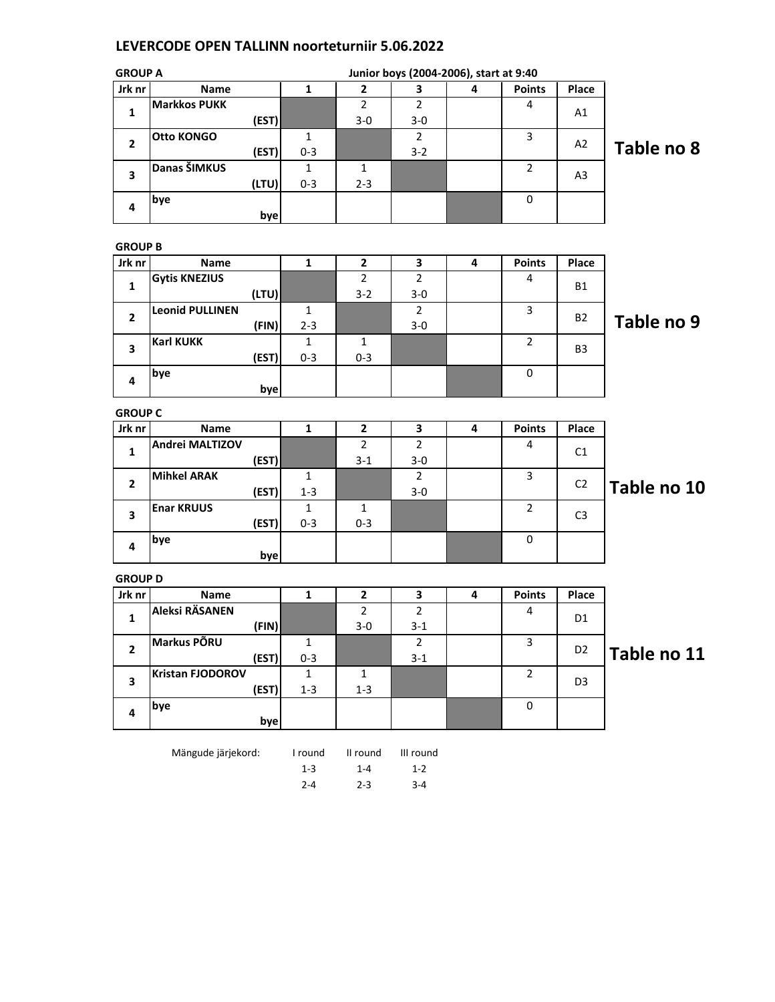## LEVERCODE OPEN TALLINN noorteturniir 5.06.2022

| <b>GROUP A</b> |                     |       |         |         |         | Junior boys (2004-2006), start at 9:40 |                |       |            |
|----------------|---------------------|-------|---------|---------|---------|----------------------------------------|----------------|-------|------------|
| Jrk nr         | Name                |       |         | 2       | 3       | 4                                      | <b>Points</b>  | Place |            |
| 1              | <b>Markkos PUKK</b> |       |         | 2       | 2       |                                        | 4              | A1    |            |
|                |                     | (EST) |         | $3-0$   | $3 - 0$ |                                        |                |       |            |
| $\overline{2}$ | <b>Otto KONGO</b>   |       |         |         | 2       |                                        | 3              | A2    |            |
|                |                     | (EST) | $0 - 3$ |         | $3 - 2$ |                                        |                |       | Table no 8 |
| 3              | Danas ŠIMKUS        |       |         |         |         |                                        | $\overline{2}$ | A3    |            |
|                |                     | (LTU) | $0 - 3$ | $2 - 3$ |         |                                        |                |       |            |
| 4              | bye                 |       |         |         |         |                                        | $\Omega$       |       |            |
|                |                     | byel  |         |         |         |                                        |                |       |            |

GROUP B

| Jrk nr | Name                   |         |         |       | 4 | <b>Points</b> | Place          |            |
|--------|------------------------|---------|---------|-------|---|---------------|----------------|------------|
|        | <b>Gytis KNEZIUS</b>   |         | 2       | າ     |   | 4             | <b>B1</b>      |            |
| 1      | (LTU)                  |         | $3 - 2$ | $3-0$ |   |               |                |            |
| 2      | <b>Leonid PULLINEN</b> |         |         |       |   | 3             | <b>B2</b>      |            |
|        | (FIN)                  | $2 - 3$ |         | $3-0$ |   |               |                | Table no 9 |
|        | <b>Karl KUKK</b>       |         |         |       |   | 2             | B <sub>3</sub> |            |
| 3      | (EST)                  | $0 - 3$ | $0 - 3$ |       |   |               |                |            |
| 4      | bye                    |         |         |       |   | 0             |                |            |
|        | bye                    |         |         |       |   |               |                |            |

GROUP C

| Jrk nr | Name               |         |         | 3     | 4 | <b>Points</b> | Place          |             |
|--------|--------------------|---------|---------|-------|---|---------------|----------------|-------------|
|        | Andrei MALTIZOV    |         |         | ำ     |   | 4             | C <sub>1</sub> |             |
| 1      | (EST)              |         | $3 - 1$ | $3-0$ |   |               |                |             |
| 2      | <b>Mihkel ARAK</b> |         |         |       |   | 3             | C <sub>2</sub> |             |
|        | (EST)              | $1 - 3$ |         | $3-0$ |   |               |                | Table no 10 |
|        | <b>Enar KRUUS</b>  |         |         |       |   | $\mathcal{P}$ |                |             |
| 3      | (EST)              | $0 - 3$ | $0 - 3$ |       |   |               | C <sub>3</sub> |             |
| 4      | bye                |         |         |       |   | 0             |                |             |
|        | bye                |         |         |       |   |               |                |             |

GROUP D

| unuur u |                         |         |         |         |   |               |                |             |
|---------|-------------------------|---------|---------|---------|---|---------------|----------------|-------------|
| Jrk nr  | <b>Name</b>             |         |         | З       | 4 | <b>Points</b> | Place          |             |
|         | Aleksi RÄSANEN          |         |         |         |   | 4             |                |             |
| л.      | (FIN)                   |         | $3 - 0$ | $3 - 1$ |   |               | D1             |             |
| 2       | Markus PÕRU             |         |         |         |   | 3             | D <sub>2</sub> |             |
|         | (EST)                   | $0 - 3$ |         | $3-1$   |   |               |                | Table no 11 |
| 3       | <b>Kristan FJODOROV</b> |         |         |         |   | 2             | D <sub>3</sub> |             |
|         | (EST)                   | $1 - 3$ | $1 - 3$ |         |   |               |                |             |
| 4       | bye                     |         |         |         |   | 0             |                |             |
|         | bye                     |         |         |         |   |               |                |             |

Mängude järjekord: I round II round III round 1-3 1-4 1-2

2-4 2-3 3-4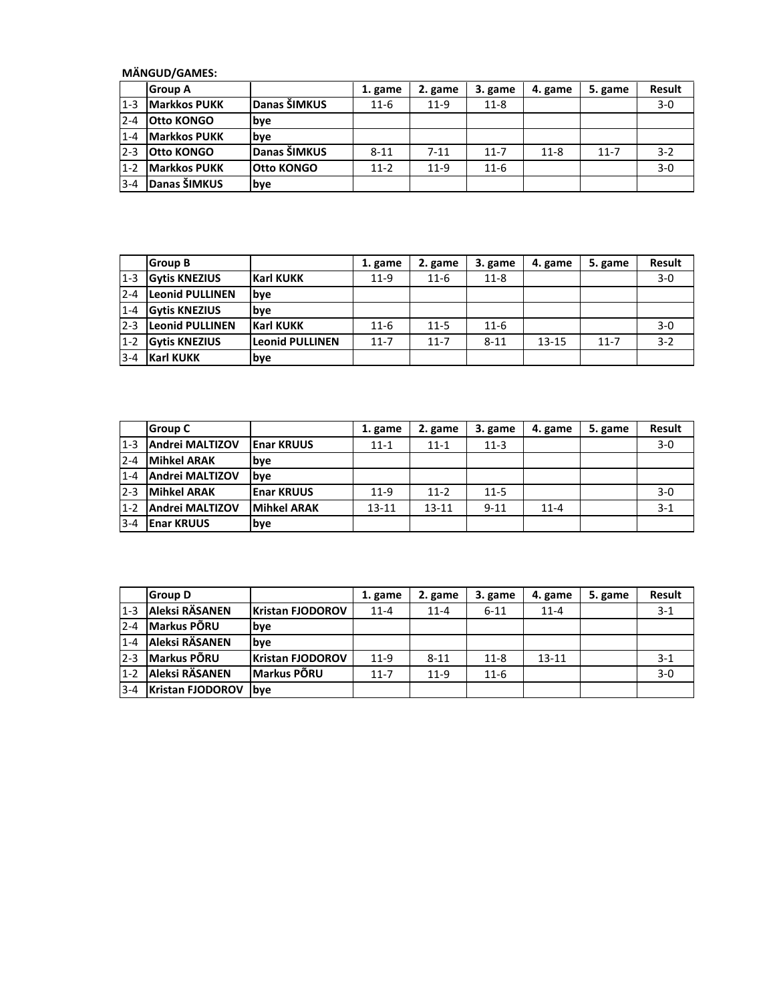MÄNGUD/GAMES:

|         | <b>Group A</b>       |                   | 1. game  | 2. game  | 3. game  | 4. game  | 5. game  | Result |
|---------|----------------------|-------------------|----------|----------|----------|----------|----------|--------|
| $1 - 3$ | <b>Markkos PUKK</b>  | Danas ŠIMKUS      | $11-6$   | $11-9$   | $11 - 8$ |          |          | $3-0$  |
| $2 - 4$ | <b>Otto KONGO</b>    | lbve              |          |          |          |          |          |        |
| $1 - 4$ | <b>IMarkkos PUKK</b> | lbve              |          |          |          |          |          |        |
| $2 - 3$ | <b>Otto KONGO</b>    | Danas ŠIMKUS      | $8 - 11$ | $7 - 11$ | $11 - 7$ | $11 - 8$ | $11 - 7$ | $3-2$  |
| $1 - 2$ | <b>Markkos PUKK</b>  | <b>Otto KONGO</b> | $11 - 2$ | $11-9$   | $11 - 6$ |          |          | $3-0$  |
| $3 - 4$ | Danas ŠIMKUS         | <b>lbye</b>       |          |          |          |          |          |        |

|         | <b>Group B</b>         |                        | 1. game  | 2. game  | 3. game  | 4. game   | 5. game  | <b>Result</b> |
|---------|------------------------|------------------------|----------|----------|----------|-----------|----------|---------------|
| $1 - 3$ | <b>Gytis KNEZIUS</b>   | <b>Karl KUKK</b>       | $11-9$   | $11 - 6$ | $11 - 8$ |           |          | $3-0$         |
| $2 - 4$ | <b>Leonid PULLINEN</b> | bye                    |          |          |          |           |          |               |
| $1 - 4$ | <b>Gytis KNEZIUS</b>   | lbve                   |          |          |          |           |          |               |
| $2 - 3$ | <b>Leonid PULLINEN</b> | <b>Karl KUKK</b>       | $11-6$   | $11 - 5$ | $11 - 6$ |           |          | $3 - 0$       |
| $1 - 2$ | <b>Gytis KNEZIUS</b>   | <b>Leonid PULLINEN</b> | $11 - 7$ | $11 - 7$ | $8 - 11$ | $13 - 15$ | $11 - 7$ | $3 - 2$       |
| $3 - 4$ | <b>Karl KUKK</b>       | bye                    |          |          |          |           |          |               |

|         | <b>Group C</b>         |                    | 1. game  | 2. game   | 3. game  | 4. game  | 5. game | <b>Result</b> |
|---------|------------------------|--------------------|----------|-----------|----------|----------|---------|---------------|
| $1 - 3$ | Andrei MALTIZOV        | <b>Enar KRUUS</b>  | $11 - 1$ | $11 - 1$  | $11 - 3$ |          |         | $3 - 0$       |
| $2 - 4$ | <b>Mihkel ARAK</b>     | lbve               |          |           |          |          |         |               |
| $1 - 4$ | <b>Andrei MALTIZOV</b> | <b>b</b> ve        |          |           |          |          |         |               |
| $2 - 3$ | <b>Mihkel ARAK</b>     | <b>Enar KRUUS</b>  | $11-9$   | $11 - 2$  | $11 - 5$ |          |         | $3 - 0$       |
| $1 - 2$ | <b>Andrei MALTIZOV</b> | <b>Mihkel ARAK</b> | 13-11    | $13 - 11$ | $9 - 11$ | $11 - 4$ |         | $3 - 1$       |
| $3 - 4$ | <b>Enar KRUUS</b>      | bye                |          |           |          |          |         |               |

|         | <b>Group D</b>          |                         | 1. game  | 2. game  | 3. game  | 4. game   | 5. game | <b>Result</b> |
|---------|-------------------------|-------------------------|----------|----------|----------|-----------|---------|---------------|
| $1 - 3$ | Aleksi RÄSANEN          | <b>Kristan FJODOROV</b> | $11 - 4$ | $11 - 4$ | $6 - 11$ | $11 - 4$  |         | $3-1$         |
| $2 - 4$ | <b>Markus PÕRU</b>      | bye                     |          |          |          |           |         |               |
| $1 - 4$ | Aleksi RÄSANEN          | lbve                    |          |          |          |           |         |               |
| $2 - 3$ | <b>Markus PÕRU</b>      | <b>Kristan FJODOROV</b> | $11-9$   | $8 - 11$ | $11 - 8$ | $13 - 11$ |         | $3 - 1$       |
| $1 - 2$ | Aleksi RÄSANEN          | <b>Markus PÕRU</b>      | $11 - 7$ | $11-9$   | $11 - 6$ |           |         | $3 - 0$       |
| $3 - 4$ | <b>Kristan FJODOROV</b> | lbve                    |          |          |          |           |         |               |